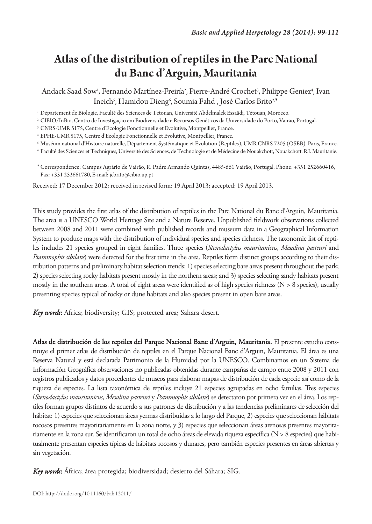# **Atlas of the distribution of reptiles in the Parc National du Banc d'Arguin, Mauritania**

Andack Saad Sow<sup>ı</sup>, Fernando Martínez-Freiría<sup>2</sup>, Pierre-André Crochet<sup>3</sup>, Philippe Geniez<sup>4</sup>, Ivan Ineich<sup>5</sup>, Hamidou Dieng<sup>6</sup>, Soumia Fahd<sup>1</sup>, José Carlos Brito<sup>2,\*</sup>

<sup>1</sup> Département de Biologie, Faculté des Sciences de Tétouan, Université Abdelmalek Essaâdi, Tétouan, Morocco.

<sup>2</sup> CIBIO/InBio, Centro de Investigação em Biodiversidade e Recursos Genéticos da Universidade do Porto, Vairão, Portugal.

<sup>3</sup> CNRS-UMR 5175, Centre d'Ecologie Fonctionnelle et Evolutive, Montpellier, France.

<sup>4</sup> EPHE-UMR 5175, Centre d'Ecologie Fonctionnelle et Evolutive, Montpellier, France.

<sup>5</sup> Muséum national d'Histoire naturelle, Département Systématique et Evolution (Reptiles), UMR CNRS 7205 (OSEB), Paris, France.

<sup>6</sup> Faculté des Sciences et Techniques, Université des Sciences, de Technologie et de Médecine de Nouakchott, Nouakchott. R.I. Mauritanie.

\* Correspondence: Campus Agrário de Vairão, R. Padre Armando Quintas, 4485-661 Vairão, Portugal. Phone: +351 252660416, Fax: +351 252661780, E-mail: jcbrito@cibio.up.pt

Received: 17 December 2012; received in revised form: 19 April 2013; accepted: 19 April 2013.

This study provides the first atlas of the distribution of reptiles in the Parc National du Banc d'Arguin, Mauritania. The area is a UNESCO World Heritage Site and a Nature Reserve. Unpublished fieldwork observations collected between 2008 and 2011 were combined with published records and museum data in a Geographical Information System to produce maps with the distribution of individual species and species richness. The taxonomic list of reptiles includes 21 species grouped in eight families. Three species (*Stenodactylus mauritanicus*, *Mesalina pasteuri* and *Psammophis sibilans*) were detected for the first time in the area. Reptiles form distinct groups according to their distribution patterns and preliminary habitat selection trends: 1) species selecting bare areas present throughout the park; 2) species selecting rocky habitats present mostly in the northern areas; and 3) species selecting sandy habitats present mostly in the southern areas. A total of eight areas were identified as of high species richness (N > 8 species), usually presenting species typical of rocky or dune habitats and also species present in open bare areas.

*Key words*: Africa; biodiversity; GIS; protected area; Sahara desert.

Atlas de distribución de los reptiles del Parque Nacional Banc d'Arguin, Mauritania. El presente estudio constituye el primer atlas de distribución de reptiles en el Parque Nacional Banc d'Arguin, Mauritania. El área es una Reserva Natural y está declarada Patrimonio de la Humidad por la UNESCO. Combinamos en un Sistema de Información Geográfica observaciones no publicadas obtenidas durante campañas de campo entre 2008 y 2011 con registros publicados y datos procedentes de museos para elaborar mapas de distribución de cada especie así como de la riqueza de especies. La lista taxonómica de reptiles incluye 21 especies agrupadas en ocho familias. Tres especies (*Stenodactylus mauritanicus*, *Mesalina pasteuri* y *Psammophis sibilans*) se detectaron por primera vez en el área. Los reptiles forman grupos distintos de acuerdo a sus patrones de distribución y a las tendencias preliminares de selección del hábitat: 1) especies que seleccionan áreas yermas distribuidas a lo largo del Parque, 2) especies que seleccionan hábitats rocosos presentes mayoritariamente en la zona norte, y 3) especies que seleccionan áreas arenosas presentes mayoritariamente en la zona sur. Se identificaron un total de ocho áreas de elevada riqueza específica (N > 8 especies) que habitualmente presentan especies típicas de hábitats rocosos y dunares, pero también especies presentes en áreas abiertas y sin vegetación.

*Key words*: África; área protegida; biodiversidad; desierto del Sáhara; SIG.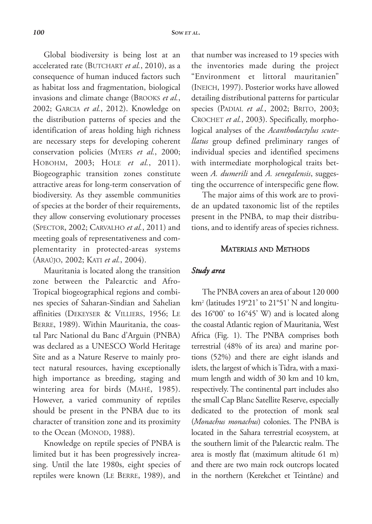Global biodiversity is being lost at an accelerated rate (BUTCHART *et al.*, 2010), as a consequence of human induced factors such as habitat loss and fragmentation, biological invasions and climate change (BROOKS *et al.*, 2002; GARCIA *et al.*, 2012). Knowledge on the distribution patterns of species and the identification of areas holding high richness are necessary steps for developing coherent conservation policies (MYERS *et al.*, 2000; HOBOHM, 2003; HOLE *et al.*, 2011). Biogeographic transition zones constitute attractive areas for long-term conservation of biodiversity. As they assemble communities of species at the border of their requirements, they allow conserving evolutionary processes (SPECTOR, 2002; CARVALHO *et al.*, 2011) and meeting goals of representativeness and complementarity in protected-areas systems (ARAÚJO, 2002; KATI *et al.*, 2004).

Mauritania is located along the transition zone between the Palearctic and Afro-Tropical biogeographical regions and combines species of Saharan-Sindian and Sahelian affinities (DEKEYSER & VILLIERS, 1956; LE BERRE, 1989). Within Mauritania, the coastal Parc National du Banc d'Arguin (PNBA) was declared as a UNESCO World Heritage Site and as a Nature Reserve to mainly protect natural resources, having exceptionally high importance as breeding, staging and wintering area for birds (MAHÉ, 1985). However, a varied community of reptiles should be present in the PNBA due to its character of transition zone and its proximity to the Ocean (MONOD, 1988).

Knowledge on reptile species of PNBA is limited but it has been progressively increasing. Until the late 1980s, eight species of reptiles were known (LE BERRE, 1989), and

that number was increased to 19 species with the inventories made during the project "Environment et littoral mauritanien" (INEICH, 1997). Posterior works have allowed detailing distributional patterns for particular species (PADIAL *et al.*, 2002; BRITO, 2003; CROCHET *et al.*, 2003). Specifically, morphological analyses of the *Acanthodactylus scutellatus* group defined preliminary ranges of individual species and identified specimens with intermediate morphological traits between *A. dumerili* and *A. senegalensis*, suggesting the occurrence of interspecific gene flow.

The major aims of this work are to provide an updated taxonomic list of the reptiles present in the PNBA, to map their distributions, and to identify areas of species richness.

## MATERIALS AND METHODS

## *Study area*

The PNBA covers an area of about 120 000 km2 (latitudes 19°21' to 21°51' N and longitudes 16°00' to 16°45' W) and is located along the coastal Atlantic region of Mauritania, West Africa (Fig. 1). The PNBA comprises both terrestrial (48% of its area) and marine portions (52%) and there are eight islands and islets, the largest of which is Tidra, with a maximum length and width of 30 km and 10 km, respectively. The continental part includes also the small Cap Blanc Satellite Reserve, especially dedicated to the protection of monk seal (*Monachus monachus*) colonies. The PNBA is located in the Sahara terrestrial ecosystem, at the southern limit of the Palearctic realm. The area is mostly flat (maximum altitude 61 m) and there are two main rock outcrops located in the northern (Kerekchet et Teintâne) and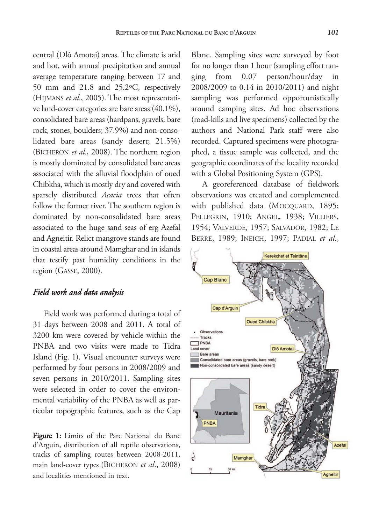central (Dlô Amotai) areas. The climate is arid and hot, with annual precipitation and annual average temperature ranging between 17 and 50 mm and 21.8 and 25.2ºC, respectively (HIJMANS *et al.*, 2005). The most representative land-cover categories are bare areas (40.1%), consolidated bare areas (hardpans, gravels, bare rock, stones, boulders; 37.9%) and non-consolidated bare areas (sandy desert; 21.5%) (BICHERON *et al.*, 2008). The northern region is mostly dominated by consolidated bare areas associated with the alluvial floodplain of oued Chibkha, which is mostly dry and covered with sparsely distributed *Acacia* trees that often follow the former river. The southern region is dominated by non-consolidated bare areas associated to the huge sand seas of erg Azefal and Agneitir. Relict mangrove stands are found in coastal areas around Mamghar and in islands that testify past humidity conditions in the region (GASSE, 2000).

## *Field work and data analysis*

Field work was performed during a total of 31 days between 2008 and 2011. A total of 3200 km were covered by vehicle within the PNBA and two visits were made to Tidra Island (Fig. 1). Visual encounter surveys were performed by four persons in 2008/2009 and seven persons in 2010/2011. Sampling sites were selected in order to cover the environmental variability of the PNBA as well as particular topographic features, such as the Cap

Figure 1: Limits of the Parc National du Banc d'Arguin, distribution of all reptile observations, tracks of sampling routes between 2008-2011, main land-cover types (BICHERON *et al*., 2008) and localities mentioned in text.

Blanc. Sampling sites were surveyed by foot for no longer than 1 hour (sampling effort ranging from 0.07 person/hour/day in 2008/2009 to 0.14 in 2010/2011) and night sampling was performed opportunistically around camping sites. Ad hoc observations (road-kills and live specimens) collected by the authors and National Park staff were also recorded. Captured specimens were photographed, a tissue sample was collected, and the geographic coordinates of the locality recorded with a Global Positioning System (GPS).

A georeferenced database of fieldwork observations was created and complemented with published data (MOCQUARD, 1895; PELLEGRIN, 1910; ANGEL, 1938; VILLIERS, 1954; VALVERDE, 1957; SALVADOR, 1982; LE BERRE, 1989; INEICH, 1997; PADIAL *et al.*,

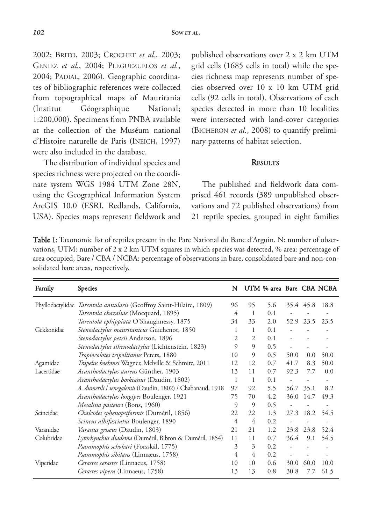2002; BRITO, 2003; CROCHET *et al.*, 2003; GENIEZ *et al.*, 2004; PLEGUEZUELOS *et al.*, 2004; PADIAL, 2006). Geographic coordinates of bibliographic references were collected from topographical maps of Mauritania (Institut Géographique National; 1:200,000). Specimens from PNBA available at the collection of the Muséum national d'Histoire naturelle de Paris (INEICH, 1997) were also included in the database.

The distribution of individual species and species richness were projected on the coordinate system WGS 1984 UTM Zone 28N, using the Geographical Information System ArcGIS 10.0 (ESRI, Redlands, California, USA). Species maps represent fieldwork and

published observations over 2 x 2 km UTM grid cells (1685 cells in total) while the species richness map represents number of species observed over 10 x 10 km UTM grid cells (92 cells in total). Observations of each species detected in more than 10 localities were intersected with land-cover categories (BICHERON *et al.*, 2008) to quantify preliminary patterns of habitat selection.

### **RESULTS**

The published and fieldwork data comprised 461 records (389 unpublished observations and 72 published observations) from 21 reptile species, grouped in eight families

Table 1: Taxonomic list of reptiles present in the Parc National du Banc d'Arguin. N: number of observations, UTM: number of 2 x 2 km UTM squares in which species was detected, % area: percentage of area occupied, Bare / CBA / NCBA: percentage of observations in bare, consolidated bare and non-consolidated bare areas, respectively.

| Family     | <b>Species</b>                                                             | N              |               | UTM % area Bare CBA NCBA |      |           |      |
|------------|----------------------------------------------------------------------------|----------------|---------------|--------------------------|------|-----------|------|
|            | Phyllodactylidae <i>Tarentola annularis</i> (Geoffroy Saint-Hilaire, 1809) | 96             | 95            | 5.6                      |      | 35.4 45.8 | 18.8 |
|            | Tarentola chazaliae (Mocquard, 1895)                                       | 4              | $\mathbf{1}$  | 0.1                      |      |           |      |
|            | Tarentola ephippiata O'Shaughnessy, 1875                                   | 34             | 33            | 2.0                      | 52.9 | 23.5      | 23.5 |
| Gekkonidae | Stenodactylus mauritanicus Guichenot, 1850                                 | 1              | 1             | 0.1                      |      |           |      |
|            | Stenodactylus petrii Anderson, 1896                                        | 2              | 2             | 0.1                      |      |           |      |
|            | Stenodactylus sthenodactylus (Lichtenstein, 1823)                          | $\overline{9}$ | $\mathcal{Q}$ | 0.5                      |      |           |      |
|            | Tropiocolotes tripolitanus Peters, 1880                                    | 10             | 9             | 0.5                      | 50.0 | 0.0       | 50.0 |
| Agamidae   | Trapelus boehmei Wagner, Melville & Schmitz, 2011                          | 12             | 12            | 0.7                      | 41.7 | 8.3       | 50.0 |
| Lacertidae | Acanthodactylus aureus Günther, 1903                                       | 13             | 11            | 0.7                      | 92.3 | 7.7       | 0.0  |
|            | Acanthodactylus boskianus (Daudin, 1802)                                   | 1              | $\mathbf{1}$  | 0.1                      |      |           |      |
|            | A. dumerili / senegalensis (Daudin, 1802) / Chabanaud, 1918                | 97             | 92            | 5.5                      | 56.7 | 35.1      | 8.2  |
|            | Acanthodactylus longipes Boulenger, 1921                                   | 75             | 70            | 4.2                      | 36.0 | 14.7      | 49.3 |
|            | Mesalina pasteuri (Bons, 1960)                                             | 9              | 9             | 0.5                      |      |           |      |
| Scincidae  | Chalcides sphenopsiformis (Duméril, 1856)                                  | 22             | 22            | 1.3                      | 27.3 | 18.2      | 54.5 |
|            | Scincus albifasciatus Boulenger, 1890                                      | 4              | 4             | 0.2                      |      |           |      |
| Varanidae  | <i>Varanus griseus</i> (Daudin, 1803)                                      | 21             | 21            | 1.2                      | 23.8 | 23.8      | 52.4 |
| Colubridae | Lytorhynchus diadema (Duméril, Bibron & Duméril, 1854)                     | 11             | 11            | 0.7                      | 36.4 | 9.1       | 54.5 |
|            | Psammophis schokari (Forsskål, 1775)                                       | 3              | 3             | 0.2                      |      |           |      |
|            | Psammophis sibilans (Linnaeus, 1758)                                       | 4              | 4             | 0.2                      |      |           |      |
| Viperidae  | Cerastes cerastes (Linnaeus, 1758)                                         | 10             | 10            | $0.6^{\circ}$            | 30.0 | 60.0      | 10.0 |
|            | Cerastes vipera (Linnaeus, 1758)                                           | 13             | 13            | 0.8                      | 30.8 | 7.7       | 61.5 |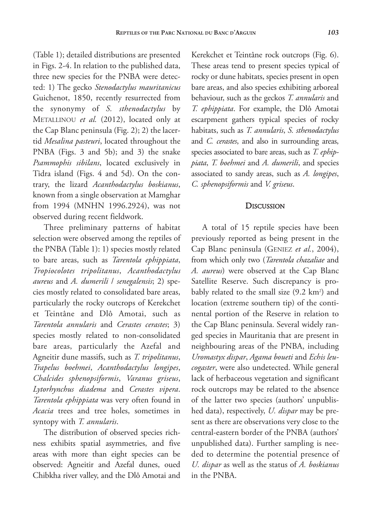(Table 1); detailed distributions are presented in Figs. 2-4. In relation to the published data, three new species for the PNBA were detected: 1) The gecko *Stenodactylus mauritanicus* Guichenot, 1850, recently resurrected from the synonymy of *S. sthenodactylus* by METALLINOU *et al.* (2012), located only at the Cap Blanc peninsula (Fig. 2); 2) the lacertid *Mesalina pasteuri*, located throughout the PNBA (Figs. 3 and 5b); and 3) the snake *Psammophis sibilans*, located exclusively in Tidra island (Figs. 4 and 5d). On the contrary, the lizard *Acanthodactylus boskianus*, known from a single observation at Mamghar from 1994 (MNHN 1996.2924), was not observed during recent fieldwork.

Three preliminary patterns of habitat selection were observed among the reptiles of the PNBA (Table 1): 1) species mostly related to bare areas, such as *Tarentola ephippiata*, *Tropiocolotes tripolitanus*, *Acanthodactylus aureus* and *A. dumerili* / *senegalensis*; 2) species mostly related to consolidated bare areas, particularly the rocky outcrops of Kerekchet et Teintâne and Dlô Amotai, such as *Tarentola annularis* and *Cerastes cerastes*; 3) species mostly related to non-consolidated bare areas, particularly the Azefal and Agneitir dune massifs, such as *T. tripolitanus*, *Trapelus boehmei*, *Acanthodactylus longipes*, *Chalcides sphenopsiformis*, *Varanus griseus*, *Lytorhynchus diadema* and *Cerastes vipera*. *Tarentola ephippiata* was very often found in *Acacia* trees and tree holes, sometimes in syntopy with *T. annularis*.

The distribution of observed species richness exhibits spatial asymmetries, and five areas with more than eight species can be observed: Agneitir and Azefal dunes, oued Chibkha river valley, and the Dlô Amotai and

Kerekchet et Teintâne rock outcrops (Fig. 6). These areas tend to present species typical of rocky or dune habitats, species present in open bare areas, and also species exhibiting arboreal behaviour, such as the geckos *T. annularis* and *T. ephippiata*. For example, the Dlô Amotai escarpment gathers typical species of rocky habitats, such as *T. annularis*, *S. sthenodactylus* and *C. cerastes*, and also in surrounding areas, species associated to bare areas, such as *T. ephippiata*, *T. boehmei* and *A. dumerili*, and species associated to sandy areas, such as *A. longipes*, *C. sphenopsiformis* and *V. griseus*.

#### **DISCUSSION**

A total of 15 reptile species have been previously reported as being present in the Cap Blanc peninsula (GENIEZ *et al.*, 2004), from which only two (*Tarentola chazaliae* and *A. aureus*) were observed at the Cap Blanc Satellite Reserve. Such discrepancy is probably related to the small size  $(9.2 \text{ km}^2)$  and location (extreme southern tip) of the continental portion of the Reserve in relation to the Cap Blanc peninsula. Several widely ranged species in Mauritania that are present in neighbouring areas of the PNBA, including *Uromastyx dispar*, *Agama boueti* and *Echis leucogaster*, were also undetected. While general lack of herbaceous vegetation and significant rock outcrops may be related to the absence of the latter two species (authors' unpublished data), respectively, *U. dispar* may be present as there are observations very close to the central-eastern border of the PNBA (authors' unpublished data). Further sampling is needed to determine the potential presence of *U. dispar* as well as the status of *A. boskianus* in the PNBA.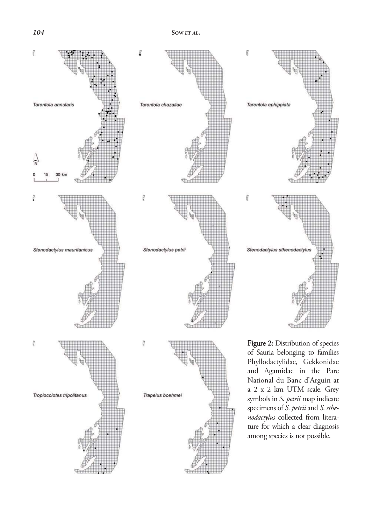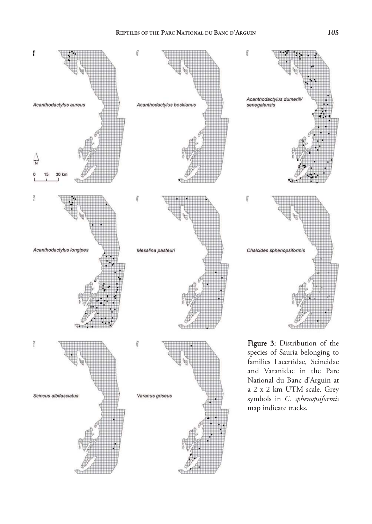

ਪੀਜ

Thuff

Figure 3: Distribution of the species of Sauria belonging to families Lacertidae, Scincidae and Varanidae in the Parc National du Banc d'Arguin at a 2 x 2 km UTM scale. Grey symbols in *C. sphenopsiformis*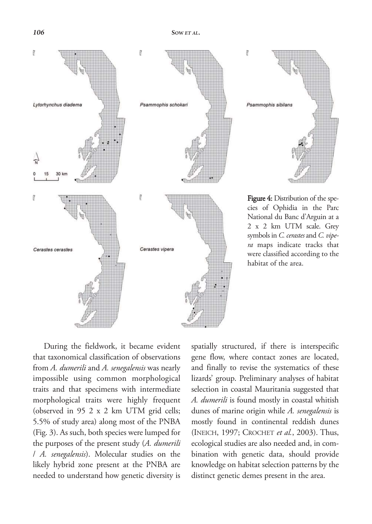



Figure 4: Distribution of the species of Ophidia in the Parc National du Banc d'Arguin at a 2 x 2 km UTM scale. Grey symbols in *C. cerastes* and *C. vipera* maps indicate tracks that were classified according to the habitat of the area.

During the fieldwork, it became evident that taxonomical classification of observations from *A. dumerili* and *A. senegalensis* was nearly impossible using common morphological traits and that specimens with intermediate morphological traits were highly frequent (observed in 95 2 x 2 km UTM grid cells; 5.5% of study area) along most of the PNBA (Fig. 3). As such, both species were lumped for the purposes of the present study (*A. dumerili* / *A. senegalensis*). Molecular studies on the likely hybrid zone present at the PNBA are needed to understand how genetic diversity is spatially structured, if there is interspecific gene flow, where contact zones are located, and finally to revise the systematics of these lizards' group. Preliminary analyses of habitat selection in coastal Mauritania suggested that *A. dumerili* is found mostly in coastal whitish dunes of marine origin while *A. senegalensis* is mostly found in continental reddish dunes (INEICH, 1997; CROCHET *et al.*, 2003). Thus, ecological studies are also needed and, in combination with genetic data, should provide knowledge on habitat selection patterns by the distinct genetic demes present in the area.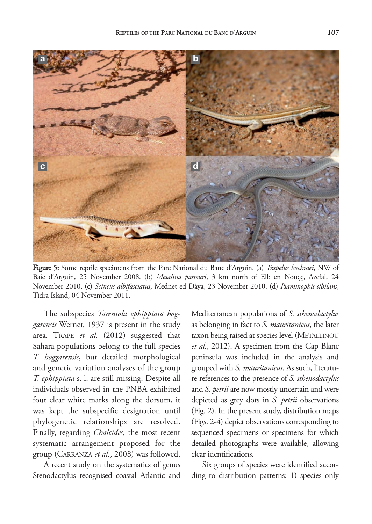

Figure 5: Some reptile specimens from the Parc National du Banc d'Arguin. (a) *Trapelus boehmei*, NW of Baie d'Arguin, 25 November 2008. (b) *Mesalina pasteuri*, 3 km north of Elb en Nouçç, Azefal, 24 November 2010. (c) *Scincus albifasciatus*, Mednet ed Dâya, 23 November 2010. (d) *Psammophis sibilans*, Tidra Island, 04 November 2011.

The subspecies *Tarentola ephippiata hoggarensis* Werner, 1937 is present in the study area. TRAPE *et al.* (2012) suggested that Sahara populations belong to the full species *T. hoggarensis*, but detailed morphological and genetic variation analyses of the group *T. ephippiata* s. l. are still missing. Despite all individuals observed in the PNBA exhibited four clear white marks along the dorsum, it was kept the subspecific designation until phylogenetic relationships are resolved. Finally, regarding *Chalcides*, the most recent systematic arrangement proposed for the group (CARRANZA *et al.*, 2008) was followed.

A recent study on the systematics of genus Stenodactylus recognised coastal Atlantic and

Mediterranean populations of *S. sthenodactylus* as belonging in fact to *S. mauritanicus*, the later taxon being raised at species level (METALLINOU *et al.*, 2012). A specimen from the Cap Blanc peninsula was included in the analysis and grouped with *S. mauritanicus*. As such, literature references to the presence of *S. sthenodactylus* and *S. petrii* are now mostly uncertain and were depicted as grey dots in *S. petrii* observations (Fig. 2). In the present study, distribution maps (Figs. 2-4) depict observations corresponding to sequenced specimens or specimens for which detailed photographs were available, allowing clear identifications.

Six groups of species were identified according to distribution patterns: 1) species only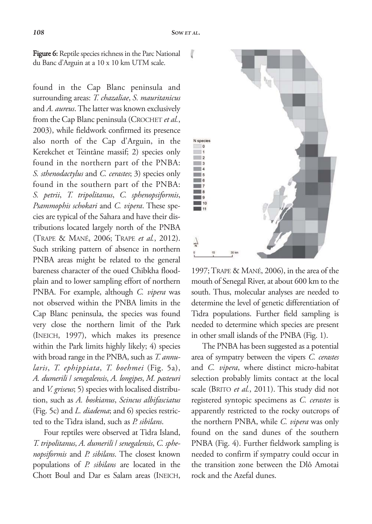Figure 6: Reptile species richness in the Parc National du Banc d'Arguin at a 10 x 10 km UTM scale.

found in the Cap Blanc peninsula and surrounding areas: *T. chazaliae*, *S. mauritanicus* and *A. aureus*. The latter was known exclusively from the Cap Blanc peninsula (CROCHET *et al.*, 2003), while fieldwork confirmed its presence also north of the Cap d'Arguin, in the Kerekchet et Teintâne massif; 2) species only found in the northern part of the PNBA: *S. sthenodactylus* and *C. cerastes*; 3) species only found in the southern part of the PNBA: *S. petrii*, *T. tripolitanus*, *C. sphenopsiformis*, *Psammophis schokari* and *C. vipera*. These species are typical of the Sahara and have their distributions located largely north of the PNBA (TRAPE & MANÉ, 2006; TRAPE *et al.*, 2012). Such striking pattern of absence in northern PNBA areas might be related to the general bareness character of the oued Chibkha floodplain and to lower sampling effort of northern PNBA. For example, although *C. vipera* was not observed within the PNBA limits in the Cap Blanc peninsula, the species was found very close the northern limit of the Park (INEICH, 1997), which makes its presence within the Park limits highly likely; 4) species with broad range in the PNBA, such as *T. annularis*, *T. ephippiata*, *T. boehmei* (Fig. 5a), *A. dumerili* / *senegalensis*, *A. longipes*, *M. pasteuri* and *V. griseus*; 5) species with localised distribution, such as *A. boskianus*, *Scincus albifasciatus* (Fig. 5c) and *L. diadema*; and 6) species restricted to the Tidra island, such as *P. sibilans*.

Four reptiles were observed at Tidra Island, *T. tripolitanus*, *A. dumerili* / *senegalensis*, *C. sphenopsiformis* and *P. sibilans*. The closest known populations of *P. sibilans* are located in the Chott Boul and Dar es Salam areas (INEICH,



1997; TRAPE & MANÉ, 2006), in the area of the mouth of Senegal River, at about 600 km to the south. Thus, molecular analyses are needed to determine the level of genetic differentiation of Tidra populations. Further field sampling is needed to determine which species are present in other small islands of the PNBA (Fig. 1).

The PNBA has been suggested as a potential area of sympatry between the vipers *C. cerastes* and *C. vipera*, where distinct micro-habitat selection probably limits contact at the local scale (BRITO *et al.*, 2011). This study did not registered syntopic specimens as *C. cerastes* is apparently restricted to the rocky outcrops of the northern PNBA, while *C. vipera* was only found on the sand dunes of the southern PNBA (Fig. 4). Further fieldwork sampling is needed to confirm if sympatry could occur in the transition zone between the Dlô Amotai rock and the Azefal dunes.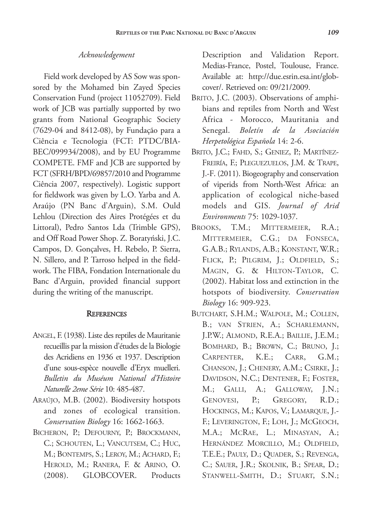## *Acknowledgement*

Field work developed by AS Sow was sponsored by the Mohamed bin Zayed Species Conservation Fund (project 11052709). Field work of JCB was partially supported by two grants from National Geographic Society (7629-04 and 8412-08), by Fundação para a Ciência e Tecnologia (FCT: PTDC/BIA-BEC/099934/2008), and by EU Programme COMPETE. FMF and JCB are supported by FCT (SFRH/BPD/69857/2010 and Programme Ciência 2007, respectively). Logistic support for fieldwork was given by L.O. Yarba and A. Araújo (PN Banc d'Arguin), S.M. Ould Lehlou (Direction des Aires Protégées et du Littoral), Pedro Santos Lda (Trimble GPS), and Off Road Power Shop. Z. Boratyński, J.C. Campos, D. Gonçalves, H. Rebelo, P. Sierra, N. Sillero, and P. Tarroso helped in the fieldwork. The FIBA, Fondation Internationale du Banc d'Arguin, provided financial support during the writing of the manuscript.

#### **REFERENCES**

- ANGEL, F. (1938). Liste des reptiles de Mauritanie recueillis par la mission d'études de la Biologie des Acridiens en 1936 et 1937. Description d'une sous-espèce nouvelle d'Eryx muelleri. *Bulletin du Muséum National d'Histoire Naturelle 2eme Série* 10: 485-487.
- ARAÚJO, M.B. (2002). Biodiversity hotspots and zones of ecological transition. *Conservation Biology* 16: 1662-1663.
- BICHERON, P.; DEFOURNY, P.; BROCKMANN, C.; SCHOUTEN, L.; VANCUTSEM, C.; HUC, M.; BONTEMPS, S.; LEROY, M.; ACHARD, F.; HEROLD, M.; RANERA, F. & ARINO, O. (2008). GLOBCOVER. Products

Description and Validation Report. Medias-France, Postel, Toulouse, France. Available at: http://due.esrin.esa.int/globcover/. Retrieved on: 09/21/2009.

- BRITO, J.C. (2003). Observations of amphibians and reptiles from North and West Africa - Morocco, Mauritania and Senegal. *Boletín de la Asociación Herpetológica Española* 14: 2-6.
- BRITO, J.C.; FAHD, S.; GENIEZ, P.; MARTÍNEZ-FREIRÍA, F.; PLEGUEZUELOS, J.M. & TRAPE, J.-F. (2011). Biogeography and conservation of viperids from North-West Africa: an application of ecological niche-based models and GIS. *Journal of Arid Environments* 75: 1029-1037.
- BROOKS, T.M.; MITTERMEIER, R.A.; MITTERMEIER, C.G.; DA FONSECA, G.A.B.; RYLANDS, A.B.; KONSTANT, W.R.; FLICK, P.; PILGRIM, J.; OLDFIELD, S.; MAGIN, G. & HILTON-TAYLOR, C. (2002). Habitat loss and extinction in the hotspots of biodiversity. *Conservation Biology* 16: 909-923.
- BUTCHART, S.H.M.; WALPOLE, M.; COLLEN, B.; VAN STRIEN, A.; SCHARLEMANN, J.P.W.; ALMOND, R.E.A.; BAILLIE, J.E.M.; BOMHARD, B.; BROWN, C.; BRUNO, J.; CARPENTER, K.E.; CARR, G.M.; CHANSON, J.; CHENERY, A.M.; CSIRKE, J.; DAVIDSON, N.C.; DENTENER, F.; FOSTER, M.; GALLI, A.; GALLOWAY, J.N.; GENOVESI, P.; GREGORY, R.D.; HOCKINGS, M.; KAPOS, V.; LAMARQUE, J.- F.; LEVERINGTON, F.; LOH, J.; MCGEOCH, M.A.; MCRAE, L.; MINASYAN, A.; HERNÁNDEZ MORCILLO, M.; OLDFIELD, T.E.E.; PAULY, D.; QUADER, S.; REVENGA, C.; SAUER, J.R.; SKOLNIK, B.; SPEAR, D.; STANWELL-SMITH, D.; STUART, S.N.;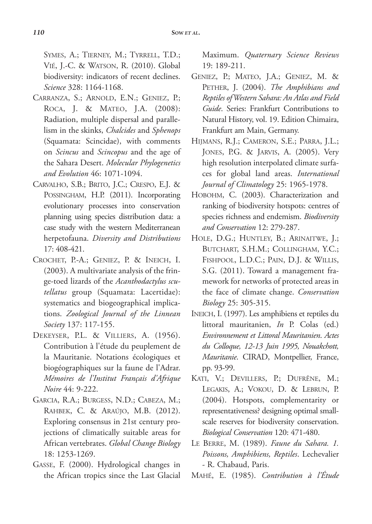SYMES, A.; TIERNEY, M.; TYRRELL, T.D.; VIÉ, J.-C. & WATSON, R. (2010). Global biodiversity: indicators of recent declines. *Science* 328: 1164-1168.

- CARRANZA, S.; ARNOLD, E.N.; GENIEZ, P.; ROCA, J. & MATEO, J.A. (2008): Radiation, multiple dispersal and parallelism in the skinks, *Chalcides* and *Sphenops* (Squamata: Scincidae), with comments on *Scincus* and *Scincopus* and the age of the Sahara Desert. *Molecular Phylogenetics and Evolution* 46: 1071-1094.
- CARVALHO, S.B.; BRITO, J.C.; CRESPO, E.J. & POSSINGHAM, H.P. (2011). Incorporating evolutionary processes into conservation planning using species distribution data: a case study with the western Mediterranean herpetofauna. *Diversity and Distributions* 17: 408-421.
- CROCHET, P.-A.; GENIEZ, P. & INEICH, I. (2003). A multivariate analysis of the fringe-toed lizards of the *Acanthodactylus scutellatus* group (Squamata: Lacertidae): systematics and biogeographical implications. *Zoological Journal of the Linnean Society* 137: 117-155.
- DEKEYSER, P.L. & VILLIERS, A. (1956). Contribution à l'étude du peuplement de la Mauritanie. Notations écologiques et biogéographiques sur la faune de l'Adrar. *Mémoires de l'Institut Français d'Afrique Noire* 44: 9-222.
- GARCIA, R.A.; BURGESS, N.D.; CABEZA, M.; RAHBEK, C. & ARAÚJO, M.B. (2012). Exploring consensus in 21st century projections of climatically suitable areas for African vertebrates. *Global Change Biology* 18: 1253-1269.
- GASSE, F. (2000). Hydrological changes in the African tropics since the Last Glacial

Maximum. *Quaternary Science Reviews* 19: 189-211.

- GENIEZ, P.; MATEO, J.A.; GENIEZ, M. & PETHER, J. (2004). *The Amphibians and Reptiles of Western Sahara: An Atlas and Field Guide*. Series: Frankfurt Contributions to Natural History, vol. 19. Edition Chimaira, Frankfurt am Main, Germany.
- HIJMANS, R.J.; CAMERON, S.E.; PARRA, J.L.; JONES, P.G. & JARVIS, A. (2005). Very high resolution interpolated climate surfaces for global land areas. *International Journal of Climatology* 25: 1965-1978.
- HOBOHM, C. (2003). Characterization and ranking of biodiversity hotspots: centres of species richness and endemism. *Biodiversity and Conservation* 12: 279-287.
- HOLE, D.G.; HUNTLEY, B.; ARINAITWE, J.; BUTCHART, S.H.M.; COLLINGHAM, Y.C.; FISHPOOL, L.D.C.; PAIN, D.J. & WILLIS, S.G. (2011). Toward a management framework for networks of protected areas in the face of climate change. *Conservation Biology* 25: 305-315.
- INEICH, I. (1997). Les amphibiens et reptiles du littoral mauritanien, *In* P. Colas (ed.) *Environnement et Littoral Mauritanien*. *Actes du Colloque, 12-13 Juin 1995, Nouakchott, Mauritanie*. CIRAD, Montpellier, France, pp. 93-99.
- KATI, V.; DEVILLERS, P.; DUFRÊNE, M.; LEGAKIS, A.; VOKOU, D. & LEBRUN, P. (2004). Hotspots, complementarity or representativeness? designing optimal smallscale reserves for biodiversity conservation. *Biological Conservation* 120: 471-480.
- LE BERRE, M. (1989). *Faune du Sahara. 1. Poissons, Amphibiens, Reptiles*. Lechevalier - R. Chabaud, Paris.
- MAHÉ, E. (1985). *Contribution à l'Étude*